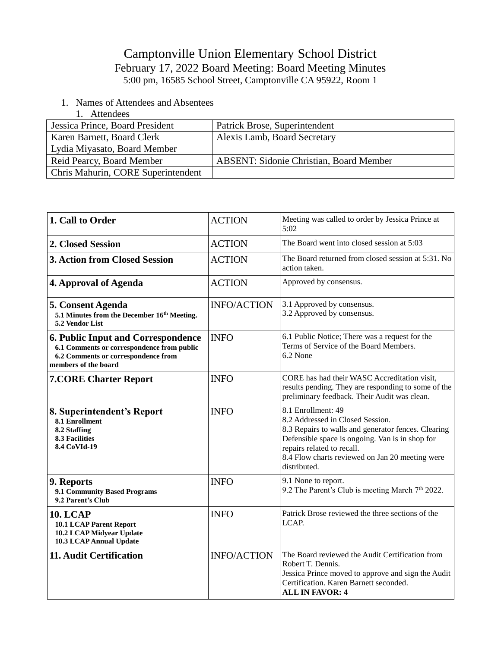## Camptonville Union Elementary School District February 17, 2022 Board Meeting: Board Meeting Minutes 5:00 pm, 16585 School Street, Camptonville CA 95922, Room 1

- 1. Names of Attendees and Absentees
	- 1. Attendees

| Jessica Prince, Board President    | Patrick Brose, Superintendent                  |
|------------------------------------|------------------------------------------------|
| Karen Barnett, Board Clerk         | Alexis Lamb, Board Secretary                   |
| Lydia Miyasato, Board Member       |                                                |
| Reid Pearcy, Board Member          | <b>ABSENT: Sidonie Christian, Board Member</b> |
| Chris Mahurin, CORE Superintendent |                                                |

| 1. Call to Order                                                                                                                                       | <b>ACTION</b>      | Meeting was called to order by Jessica Prince at<br>5:02                                                                                                                                                                                                          |
|--------------------------------------------------------------------------------------------------------------------------------------------------------|--------------------|-------------------------------------------------------------------------------------------------------------------------------------------------------------------------------------------------------------------------------------------------------------------|
| 2. Closed Session                                                                                                                                      | <b>ACTION</b>      | The Board went into closed session at 5:03                                                                                                                                                                                                                        |
| <b>3. Action from Closed Session</b>                                                                                                                   | <b>ACTION</b>      | The Board returned from closed session at 5:31. No<br>action taken.                                                                                                                                                                                               |
| 4. Approval of Agenda                                                                                                                                  | <b>ACTION</b>      | Approved by consensus.                                                                                                                                                                                                                                            |
| <b>5. Consent Agenda</b><br>5.1 Minutes from the December 16th Meeting.<br>5.2 Vendor List                                                             | <b>INFO/ACTION</b> | 3.1 Approved by consensus.<br>3.2 Approved by consensus.                                                                                                                                                                                                          |
| <b>6. Public Input and Correspondence</b><br>6.1 Comments or correspondence from public<br>6.2 Comments or correspondence from<br>members of the board | <b>INFO</b>        | 6.1 Public Notice; There was a request for the<br>Terms of Service of the Board Members.<br>6.2 None                                                                                                                                                              |
| <b>7.CORE Charter Report</b>                                                                                                                           | <b>INFO</b>        | CORE has had their WASC Accreditation visit,<br>results pending. They are responding to some of the<br>preliminary feedback. Their Audit was clean.                                                                                                               |
| 8. Superintendent's Report<br>8.1 Enrollment<br>8.2 Staffing<br><b>8.3 Facilities</b><br>8.4 CoVId-19                                                  | <b>INFO</b>        | 8.1 Enrollment: 49<br>8.2 Addressed in Closed Session.<br>8.3 Repairs to walls and generator fences. Clearing<br>Defensible space is ongoing. Van is in shop for<br>repairs related to recall.<br>8.4 Flow charts reviewed on Jan 20 meeting were<br>distributed. |
| 9. Reports<br>9.1 Community Based Programs<br>9.2 Parent's Club                                                                                        | <b>INFO</b>        | 9.1 None to report.<br>9.2 The Parent's Club is meeting March 7 <sup>th</sup> 2022.                                                                                                                                                                               |
| <b>10. LCAP</b><br><b>10.1 LCAP Parent Report</b><br>10.2 LCAP Midyear Update<br>10.3 LCAP Annual Update                                               | <b>INFO</b>        | Patrick Brose reviewed the three sections of the<br>LCAP.                                                                                                                                                                                                         |
| 11. Audit Certification                                                                                                                                | <b>INFO/ACTION</b> | The Board reviewed the Audit Certification from<br>Robert T. Dennis.<br>Jessica Prince moved to approve and sign the Audit<br>Certification. Karen Barnett seconded.<br><b>ALL IN FAVOR: 4</b>                                                                    |